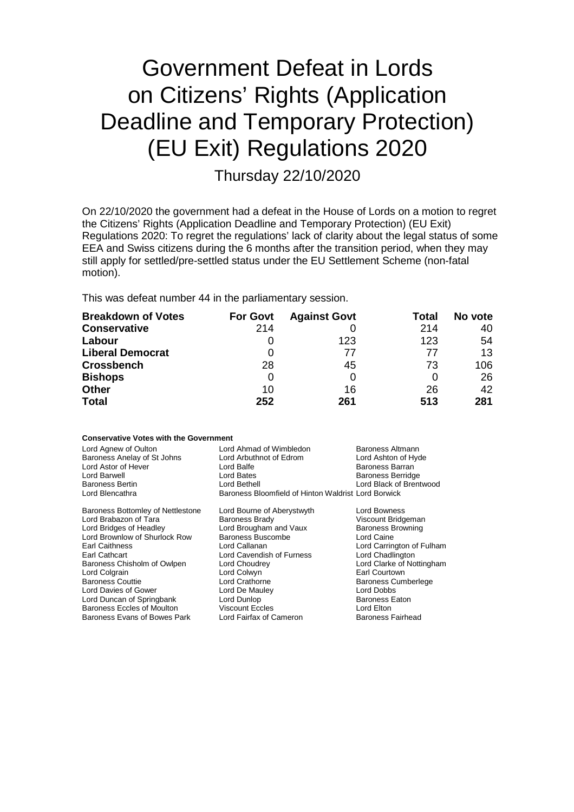# Government Defeat in Lords on Citizens' Rights (Application Deadline and Temporary Protection) (EU Exit) Regulations 2020

Thursday 22/10/2020

On 22/10/2020 the government had a defeat in the House of Lords on a motion to regret the Citizens' Rights (Application Deadline and Temporary Protection) (EU Exit) Regulations 2020: To regret the regulations' lack of clarity about the legal status of some EEA and Swiss citizens during the 6 months after the transition period, when they may still apply for settled/pre-settled status under the EU Settlement Scheme (non-fatal motion).

This was defeat number 44 in the parliamentary session.

| <b>Breakdown of Votes</b> | <b>For Govt</b> | <b>Against Govt</b> | Total | No vote |
|---------------------------|-----------------|---------------------|-------|---------|
| <b>Conservative</b>       | 214             |                     | 214   | 40      |
| Labour                    | $\Omega$        | 123                 | 123   | 54      |
| <b>Liberal Democrat</b>   | O               | 77                  | 77    | 13      |
| <b>Crossbench</b>         | 28              | 45                  | 73    | 106     |
| <b>Bishops</b>            | 0               |                     |       | 26      |
| <b>Other</b>              | 10              | 16                  | 26    | 42      |
| <b>Total</b>              | 252             | 261                 | 513   | 281     |

**Conservative Votes with the Government**

| CONSERVANCE VOLES WILLI LITE GOVERNMENT                                                                                          |                                                                                                                                                       |                                                                                                                          |
|----------------------------------------------------------------------------------------------------------------------------------|-------------------------------------------------------------------------------------------------------------------------------------------------------|--------------------------------------------------------------------------------------------------------------------------|
| Lord Agnew of Oulton<br>Baroness Anelay of St Johns<br>Lord Astor of Hever<br>Lord Barwell<br>Baroness Bertin<br>Lord Blencathra | Lord Ahmad of Wimbledon<br>Lord Arbuthnot of Edrom<br>Lord Balfe<br>Lord Bates<br>Lord Bethell<br>Baroness Bloomfield of Hinton Waldrist Lord Borwick | Baroness Altmann<br>Lord Ashton of Hyde<br><b>Baroness Barran</b><br><b>Baroness Berridge</b><br>Lord Black of Brentwood |
| Baroness Bottomley of Nettlestone                                                                                                | Lord Bourne of Aberystwyth                                                                                                                            | Lord Bowness                                                                                                             |
| Lord Brabazon of Tara                                                                                                            | <b>Baroness Brady</b>                                                                                                                                 | Viscount Bridgeman                                                                                                       |
| Lord Bridges of Headley                                                                                                          | Lord Brougham and Vaux                                                                                                                                | <b>Baroness Browning</b>                                                                                                 |
| Lord Brownlow of Shurlock Row                                                                                                    | <b>Baroness Buscombe</b>                                                                                                                              | Lord Caine                                                                                                               |
| Earl Caithness                                                                                                                   | Lord Callanan                                                                                                                                         | Lord Carrington of Fulham                                                                                                |
| Earl Cathcart                                                                                                                    | Lord Cavendish of Furness                                                                                                                             | Lord Chadlington                                                                                                         |
| Baroness Chisholm of Owlpen                                                                                                      | Lord Choudrey                                                                                                                                         | Lord Clarke of Nottingham                                                                                                |
| Lord Colgrain                                                                                                                    | Lord Colwyn                                                                                                                                           | Earl Courtown                                                                                                            |
| <b>Baroness Couttie</b>                                                                                                          | Lord Crathorne                                                                                                                                        | <b>Baroness Cumberlege</b>                                                                                               |
| Lord Davies of Gower                                                                                                             | Lord De Mauley                                                                                                                                        | Lord Dobbs                                                                                                               |
| Lord Duncan of Springbank                                                                                                        | Lord Dunlop                                                                                                                                           | <b>Baroness Eaton</b>                                                                                                    |
| <b>Baroness Eccles of Moulton</b>                                                                                                | <b>Viscount Eccles</b>                                                                                                                                | Lord Elton                                                                                                               |
| Baroness Evans of Bowes Park                                                                                                     | Lord Fairfax of Cameron                                                                                                                               | <b>Baroness Fairhead</b>                                                                                                 |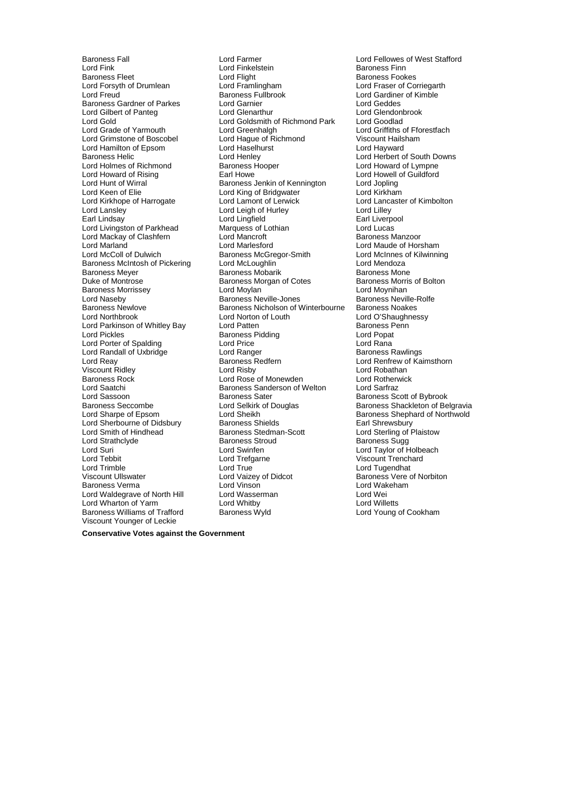Lord Fink Lord Finkelstein<br>
Baroness Fleet Sanctic Lord Flight Lord Keen of Elie<br>Lord Kirkhope of Harrogate Lord Lamont of Lerwick Lord Mackay of Clashfern<br>Lord Marland Baroness McIntosh of Pickering Lord Naseby **Baroness Neville-Jones**<br>
Baroness Newlove **Baroness Newlow**<br>
Baroness Nicholson of V Lord Randall of Uxbridge Lord Ranger<br>Lord Reav Baroness Redfern Lord Sherbourne of Didsbury Baroness Shields<br>
Lord Smith of Hindhead Baroness Stedman-Scott Baroness Verma<br>Lord Waldegrave of North Hill Lord Wasserman Lord Wharton of Yarm Lord Whitby Lord Whitby Lord Willetts<br>
Baroness Williams of Trafford Baroness Wyld Lord Young of Cookham Baroness Williams of Trafford Viscount Younger of Leckie

Baroness Fall Lord Farmer Lord Fellowes of West Stafford Baroness Fleet Lord Flight Cord Flight Corporation Baroness Fookes<br>
Lord Forsyth of Drumlean Lord Framlingham Lord Experience Corporation Corporation Lord Framlingham Lord Fraser of Corriegarth<br>Baroness Fullbrook Lord Gardiner of Kimble Lord Freud **Communist Communist Communist Communist Communist Communist Communist Communist Communist Communist**<br>Baroness Gardner of Parkes **Lord Garmier** Communist Communist Communist Communist Communist Communist Communi Baroness Gardner of Parkes Lord Garnier Lord Geddes Lord Gilbert of Panteg **Lord Glenarthur** Lord Genarthur Lord Glenarthur Lord Glendonbrook Lord Goodlad<br>Lord Gold Lord Goldsmith of Richmond Park Lord Goodlad Lord Goldsmith of Richmond Park<br>
Lord Grade of Yarmouth Lord Goldsmith of Richmond Park<br>
Lord Greenhalgh Lord Grade of Yarmouth Lord Greenhalgh Lord Greenhalgh Lord Griffiths of Fforestfach<br>
Lord Grimstone of Boscobel Lord Haque of Richmond Viscount Hailsham Lord Hague of Richmond Lord Hamilton of Epsom Lord Haselhurst Lord Hayward Lord Henley Lord Herbert of South Downs<br>Baroness Hooper South Down Lord Howard of Lympne Lord Holmes of Richmond Baroness Hooper Lord Howard of Lympne<br>
Lord Howard of Rising Earl Howe Baroness Hooper Lord Howard of Guildford Lord Howard of Rising Lord Howell<br>
Lord Howard of Rising **Earl Howe Lord Howard of Rising Lord Howard of Rising Lord Jopling**<br>
Baroness Jenkin of Kennington Lord Jopling Lord Hunt of Wirral Unit of Baroness Jenkin of Kennington Lord Jopling<br>Lord Keen of Elie Cord King of Bridgwater Lord Kirkham Lord Lansley **Lansley Communist Lord Leigh of Hurley Communist Cord Lilley**<br>
Lord Lingfield Communist Lord Lingfield<br>
Lord Lingfield Communist Communist Cord Lingfield **Earl Lingfield Lord Liverpool**<br>
Marquess of Lothian **Earl Lord Lucas** Lord Livingston of Parkhead Marquess of Lothian Lord Lucas Lord Marland Lord Marlesford Lord Maude of Horsham Baroness McGregor-Smith Lord McInnes of Kilwinning<br>
Lord McLoughlin Lord Mendoza Baroness Meyer **Baroness Mobarik Baroness Mobarik Baroness Mone**<br>
Baroness Mortrose Baroness Morgan of Cotes<br>
Baroness Morris of Bolton Baroness Morgan of Cotes Baroness Morri<br>
Lord Movlan boltonic Boltonic Lord Movnihan Baroness Morrissey **Example 2** Lord Moylan **Constructs Constructs Constructs**<br>
Lord Naseby **Lord Moylan Constructs**<br>
Lord Naseby **Constructs Constructs** Baroness Neville-Rolle Baroness Neville-Rolfe Baroness Newlove **Baroness Newlove** Baroness Nicholson of Winterbourne Baroness Noakes<br>Lord Northbrook **Baroness Lord Norton of Louth** Lord O'Shaughnes Lord Norton of Louth Lord O'Shaughnessy<br>
Lord Patten **Lord Norton Communist Communist Communist** Baroness Penn Lord Parkinson of Whitley Bay Lord Patten Cord Patten Baroness Pidding Cord Popat<br>
Lord Pickles Cord Popat **Baroness Pidding State Baroness Pidding State Baroness Pidding Common Poper** Lord Popat Lord Porter of Spalding The Lord Price Tennis Cord Price Lord Rana<br>Lord Randall of Uxbridge The Lord Ranger Cord Ranament Ranaments Rawlings Viscount Ridley **Lord Risby** Lord Risby Lord Robathan Christian Lord Robathan<br>Baroness Rock **Lord Robathan** Lord Rose of Monewden Lord Rotherwick Baroness Rock **Artic Lord Rose of Monewden** Lord Rotherwick Lord Rotherwick Lord Sartraz<br>Lord Saatchi Lord Rose of Baroness Sanderson of Welton Lord Sarfraz Baroness Sanderson of Welton Lord Sassoon **Baroness Sater** Baroness Scott of Bybrook<br>Baroness Seccombe **Baroness Scott of Bybrook**<br>Baroness Shackleton of Be Baroness Seccombe **Lord Selkirk of Douglas** Baroness Shackleton of Belgravia<br>Lord Sharpe of Epsom Lord Sheikh **Baroness Shephard of Northwold** Lord Sharpe of Epsom Lord Sheikh Baroness Shephard of Northwold Lord Sherbourne of Didsbury<br>
Lord Smith of Hindhead Baroness Shields Baroness Stedman-Scott Lord Sterling of Plaistow<br>
Lord Strathclyde Baroness Stroud Baroness Sugg Lord Strathclyde Baroness Stroud Baroness Sugg Lord Suri Lord Swinfen Lord Taylor of Holbeach Lord Tebbit Lord Trefgarne Viscount Trenchard Lord Trimble Lord True Lord True Lord Tugendhat<br>
Viscount Ullswater Corea Lord Vaizey of Didcot Corea Baroness Vere of Lord Vaizey of Didcot Baroness Vere of Norbiton<br>
Lord Vinson<br>
Lord Wakeham Lord Waldegrave of North Hill Lord Wasserman and Lord Wei<br>
Lord Wharton of Yarm Lord Whiter Lord Whitby Lord Willetts

Lord Lancaster of Kimbolton Lord Renfrew of Kaimsthorn

**Conservative Votes against the Government**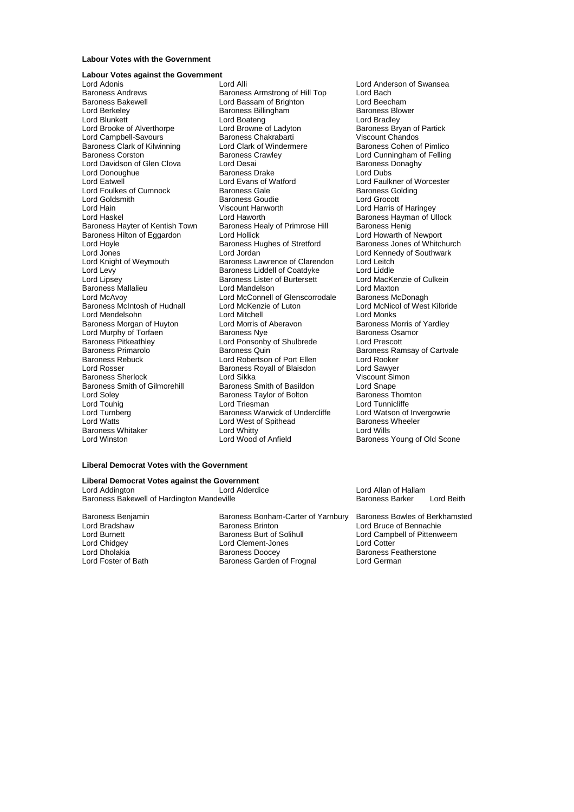## **Labour Votes with the Government**

#### **Labour Votes against the Government**

Lord Brooke of Alverthorpe Baroness Clark of Kilwinning Lord Clark of Wind<br>Baroness Corston **Baroness Crawley** Lord Donoughue **Baroness Drake**<br> **Cord Eatwell**<br>
Lord Evans of Watford Lord Foulkes of Cumnock Baroness Gale Baroness Hilton of Eggardon Lord Hollick<br>Lord Hoyle Lord Hollick Baroness Hughes of Stretford Baroness McIntosh of Hudnall Lord McKenz<br>Lord Mendelsohn Lord Mitchell Baroness Pitkeathley **Lord Ponsonby of Shulbrede**<br> **Baroness Primarolo** Baroness Quin Lord Soley **Baroness Taylor of Bolton Baroness Taylor** of Bolton **Baroness Taylor** of Bolton Baroness Taylor of Bolton **Baroness Whitaker Lord Whitty Lord Whitty**<br>
Lord Winston Lord Wood of Anfield

Lord Adonis **Lord Alli** Lord Alli Lord Anderson of Swansea<br>
Baroness Andrews **Baroness Armstrong of Hill Top** Lord Bach Baroness Andrews **Baroness Andrews** Baroness Armstrong of Hill Top Lord Bach<br>Baroness Bakewell **Baroness Armstrong of Hill Top** Lord Bach Baroness Bakewell Lord Bassam of Brighton Lord Beecham Lord Berkeley Baroness Billingham Baroness Blower Lord Boateng<br>
Lord Browne of Ladyton<br>
Baroness Bryan of Partick Lord Campbell-Savours **Baroness Chakrabarti** Viscount Chandos<br>Baroness Clark of Kilwinning **Baroness Contains Container Containe** Baroness Cohen of Pimlico Baroness Crawley **Corston Baroness Crawley Corston Baroness Contains Corston Baroness Contains Corston Baroness Contains Corston Baroness Donachy** Lord Davidson of Glen Clova Lord Desai Desai Desainess Donaghy<br>
Lord Davidson of Glen Clova Lord Desai Baroness Drake Lord Dubs<br>
Baroness Drake Lord Dubs Lord Goldsmith **Baroness Goudie** Cord Goudie Lord Grocott<br>Lord Hain Cord Cord Critics of Viscount Hanworth Cord Cord Harris o Lord Hain Viscount Hanworth Lord Harris of Haringey Lord Haskel Lord Haworth Lord Haworth Baroness Hayman of Ullock<br>Baroness Havter of Kentish Town Baroness Healy of Primrose Hill Baroness Henig Baroness Healy of Primrose Hill Baroness Henig<br>
Lord Hollick Lord Howarth of Newport Lord Hoyle **Baroness Hughes of Stretford** Baroness Jones of Whitchurch<br>
Lord Jones **Barones Lord Access** Lord Lord Kennedy of Southwark Lord Jones **Lord Lord Jordan** Lord Clarendon Lord Kennedy of Southwark<br>
Lord Knight of Weymouth **Baroness Lawrence of Clarendon** Lord Leitch Lord Knight of Weymouth **Baroness Lawrence of Clarendon** Lord Leitch<br>
Baroness Liddell of Coatdyke Lord Liddle Lord Levy<br>
Lord Line Lord Liddle Coatdyke Lord Liddle<br>
Lord Line Lord MacKenzie of Culkein<br>
Lord Line of Culkein **Baroness Lister of Burtersett** Lord MacKen<br>Lord Mandelson Lord Maxton Baroness Mallalieu Lord Mandelson Lord Maxton Lord Maxton Lord Maxton Lord Maxton Lord Maxton Lord Maxton Lord Maxton Lord Maxton Lord Maxton Lord Maxton Lord Maxton Lord Maxton Lord Maxton Lord Maxton Lord Maxton Lord Max Lord McConnell of Glenscorrodale Baroness McDonagh<br>
Lord McKenzie of Luton
Lord McNicol of West Kilbride Lord Mendelsohn Lord Mitchell Lord Monks Baroness Morgan of Huyton Lord Morris of Aberavon<br>
Lord Murphy of Torfaen Caroness New Baroness Osamor<br>
Baroness Osamor Lord Murphy of Torfaen **Baroness Nye State Baroness Osamore** Baroness Osamoress Osamoress Osamores Osamores Osa<br>Baroness Pitkeathlev **Baroness Container Baroness Osamores** Lord Prescott Baroness Primarolo **Baroness Quin Baroness Axes Baroness Ramsay of Cartvale**<br>Baroness Rebuck **Baroness Carty Cartes Act Accepts** Lord Rooker Baroness Rebuck Baroness Rebuck **Communist Contract Contract Lord Robertson of Port Ellen** Lord Rooker<br>Lord Rosser **Communist Contract Contract Contract Contract Contract Contract Contract Contract Contract Contract** Exaroness Royall of Blaisdon **Lord Sawyer**<br>Lord Sikka Lord Corporation Lord Sawyer Baroness Sherlock **Communist Communisty**<br>Baroness Smith of Gilmorehill Baroness Smith of Basildon Lord Snape Baroness Smith of Gilmorehill Baroness Smith of Basildon<br>Lord Soley Baroness Taylor of Bolton Baroness Thornton Lord Touhig Lord Tunnicliffe<br>
Lord Turnberg Corporation Control Baroness Warwick of Undercliffe Lord Watson of Invergowrie Lord Turnberg **Baroness Warwick of Undercliffe** Lord Watson of Invergorian Corporation Baroness Wheeler<br>Lord Watts Lord West of Spithead Baroness Wheeler Lord West of Spithead Baroness<br>
Lord Whitty **Baroness**<br>
Lord Wills

Lord Faulkner of Worcester<br>Baroness Golding Baroness Young of Old Scone

# **Liberal Democrat Votes with the Government**

#### **Liberal Democrat Votes against the Government**

Lord Addington **Lord Allan of Hallam**<br>Baroness Bakewell of Hardington Mandeville **Lord Allan of Hallam** Baroness Barker Baroness Bakewell of Hardington Mandeville **Baroness Barker Lord Beith** Baroness Barker Lord Beith

Baroness Benjamin Baroness Bonham-Carter of Yarnbury Baroness Bowles of Berkhamsted<br>Lord Bradshaw Baroness Brinton Lord Bruce of Bennachie Lord Bradshaw Baroness Brinton Lord Bruce of Bennachie<br>
Lord Burnett Baroness Burt of Solihull Lord Campbell of Pittenw Lord Chidgey Lord Clement-Jones Lord Cotter Lord Dholakia Baroness Doocey Baroness Featherstone Baroness Garden of Frognal

Lord Campbell of Pittenweem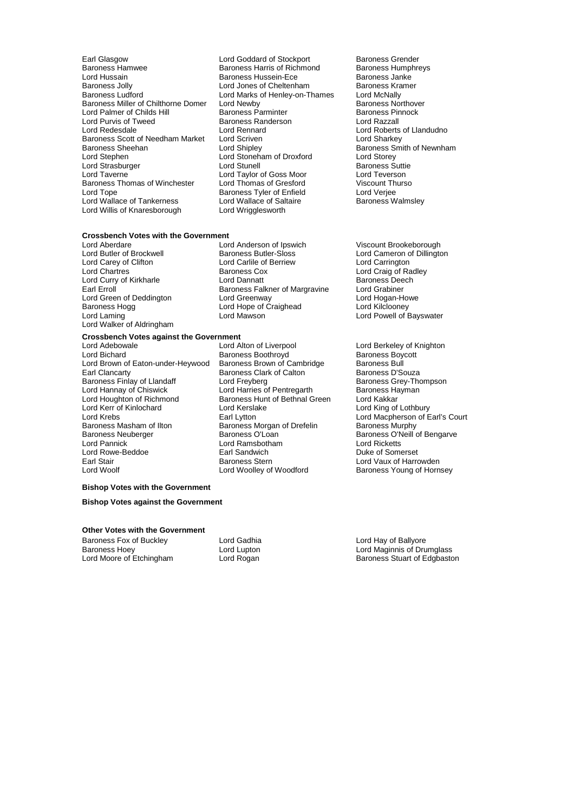- Earl Glasgow **Lord Goddard of Stockport** Baroness Grender<br>
Baroness Hamwee **Baroness Harris of Richmond** Baroness Humphreys Baroness Hamwee **Baroness Harris of Richmond** Baroness Humphreys Harris of Richmond Baroness Humphreys Communicular<br>
Baroness Hussein-Ece Baroness Janke Lord Hussain **Baroness Hussein-Ece Baroness Hussein-Ece** Baroness Hussein-Ece **Baroness** January Baroness Hussein-Ece **Baroness** January Baroness Hussein-Ece **Baroness** January Baroness Hussein-Ece **Baroness** January Baron Baroness Jolly **Communist Control Controls Controls Controls Controls Controls Controls Controls Controls Contro**<br>
Baroness Ludford **Controls Controls Controls Controls Controls Controls Controls Controls Controls Controls** Baroness Miller of Chilthorne Domer Lord Newby Baroness Northover Baroness Northover Baroness Northover Baroness Northover Baroness Northover Baroness Northover Baroness Northover Baroness Pinnock Lord Palmer of Childs Hill Baroness Parminter Ford Palmer of Childs Hill Baroness Parminter Baroness Parminter<br>
Lord Purvis of Tweed Baroness Randerson Baroness Parminter Lord Purvis of Tweed Baroness Randerson<br>
Baroness Randerson<br>
Lord Redesdale<br>
Lord Rennard Baroness Scott of Needham Market Lord Scriven<br>Baroness Sheehan Lord Shipley Baroness Sheehan Baroness Sheehan Lord Shipley Baroness Sheehan Lord Shipley<br>Lord Stoneham Baroness Smith of Newnham<br>Lord Stoneham of Droxford Lord Storev Lord Strasburger Lord Stunell Baroness Suttie Baroness Thomas of Winchester Lord Thomas of Gresford Viscount Thomas of Greeford Viscount Thurson Cord Verjee Lord Wallace of Tankerness Lord Willis of Knaresborough Lord Wrigglesworth
	- Lord Marks of Henley-on-Thames Lord McNally<br>Lord Newby **Baroness Northover** Lord Rennard Lord Roberts of Llandudno<br>
	Lord Scriven Lord Sharkey Lord Stephen Lord Stoneham of Droxford Lord Storey Lord Taylor of Goss Moor<br>
	Lord Thomas of Gresford<br>
	Viscount Thurso **Baroness Tyler of Enfield** Lord Verjee<br>
	Lord Wallace of Saltaire **Baroness Walmsley** 
		-

# **Crossbench Votes with the Government**<br>Lord Aberdare Loru

Lord Carey of Clifton Lord Carlile of Lord Carlile of Lord Chartness<br>
Lord Chartnes Cox Lord Curry of Kirkharle Lord Walker of Aldringham

Baroness Butler-Sloss Lord Cameron of Dillington<br>
Lord Carlile of Berriew Lord Carrington **Examples Cox**<br>
Lord Craig of Radley<br>
Lord Dannatt Baroness Deech Earl Erroll Baroness Falkner of Margravine Lord Grabiner<br>
Lord Green of Deddington Lord Greenway Cord Hogan-Howe Lord Green of Deddington Lord Greenway Cord Greenway Lord Greenway Lord Hogan-Howe<br>Baroness Hogg Cord Hope of Craighead Lord Kilclooney Lord Hope of Craighead Lord Laming **Lord Mawson** Lord Mawson **Lord Laming** Lord Powell of Bayswater

# **Crossbench Votes against the Government**

- Lord Bichard **Baroness Boothroyd** Baroness Boothroyd Baroness Boy<br>Lord Brown of Eaton-under-Heywood Baroness Brown of Cambridge Baroness Bull Lord Brown of Eaton-under-Heywood Baroness Brown of Cambridge Baroness Bull Baroness Finlay of Llandaff and Lord Freyberg Corport and Baroness Grey-Thomas Grey-Thomas Baroness Hayman Lord Hannay of Chiswick Lord Harries of Pentregarth<br>
Lord Houghton of Richmond Baroness Hunt of Bethnal G Lord Kerr of Kinlochard **Lord Kerslake Lord Kerslake** Lord King of Lothbury<br>Lord Krebs **Lord Kerret Corporat Corporat Corporat Corporat Corporat Corporat Corporat Corporate Carl Lytton** Lord Krebs **Earl Lytton** Earl Lytton Lord Macpherson of Earl's Court<br>Baroness Masham of Ilton **Baroness Morgan of Drefelin** Baroness Murphy Baroness Masham of Ilton Baroness Morgan of Drefelin<br>Baroness Neuberger Baroness O'Loan Baroness Neuberger Baroness O'Loan Baroness O'Neill of Bengarve<br>
Lord Pannick Lord Ramsbotham Lord Ricketts<br>
Lord Ramsbotham Lord Ricketts Lord Rowe-Beddoe **Earl Sandwich Carl Sandwich**<br>Earl Stair **Earl Sandwich** Earl Stair **Earl Stair Baroness Stern Charlotte Container** Lord Vaux of Harrowden<br>1991 Lord Woolley of Woodford Baroness Young of Horn
- Lord Adebowale **Lord Alton of Liverpool** Lord Berkeley of Knighton<br>
Lord Bichard **Constant Berkeley Constant Berkeley Constant Berkeley of Knighton**<br>
Lord Bichard Constant Berkeley of Berkeley of Berkeley of Berkeley of Be Earl Clancarty Baroness Clark of Calton Baroness D'Souza<br>
Lord Freyberg Baroness Grey-Thompson Baroness Hunt of Bethnal Green Lord Kakkar Lord Ramsbotham **Lord Ricketts**<br> **Earl Sandwich** Camero Buke of Somerset

Lord Aberdare Lord Aberdare Lord Anderson of Ipswich<br>Lord Aberdare Lord Anderson of Ipswich Viscount Brookeborough<br>Lord Butler of Brockwell Baroness Butler-Sloss Lord Cameron of Dillingto

Baroness Young of Hornsey

# **Bishop Votes with the Government**

#### **Bishop Votes against the Government**

#### **Other Votes with the Government**

Baroness Fox of Buckley **Lord Gadhia** Corresponding Lord Hay of Ballyore<br>Baroness Hoey **Lord Lord Lupton** Lord Lupton Lord Maginnis of Dru Baroness Hoey Lord Lupton Lord Maginnis of Drumglass

Baroness Stuart of Edgbaston